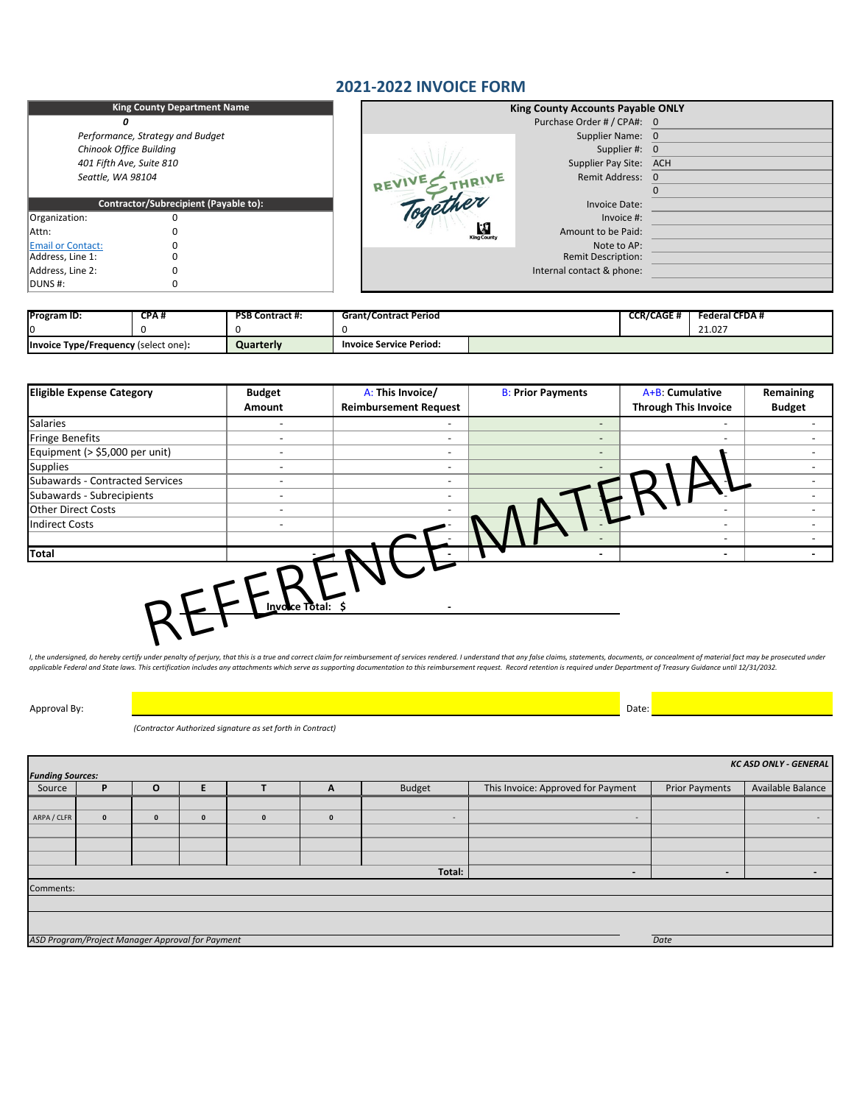Approval By: Date:

*(Contractor Authorized signature as set forth in Contract)*

|                                | <b>King County Department Name</b>           |                                               | <b>King County Accounts Payable ONLY</b> |  |  |
|--------------------------------|----------------------------------------------|-----------------------------------------------|------------------------------------------|--|--|
|                                |                                              | Purchase Order # / CPA#: 0                    |                                          |  |  |
|                                | Performance, Strategy and Budget             | Supplier Name: 0                              |                                          |  |  |
| <b>Chinook Office Building</b> |                                              | Supplier #: 0                                 |                                          |  |  |
| 401 Fifth Ave, Suite 810       |                                              | Supplier Pay Site:                            | ACH                                      |  |  |
| Seattle, WA 98104              |                                              | REVIVE THRIVE<br><b>Remit Address:</b>        | 0                                        |  |  |
|                                |                                              |                                               |                                          |  |  |
|                                | <b>Contractor/Subrecipient (Payable to):</b> | Together<br>Invoice Date:                     |                                          |  |  |
| Organization:                  |                                              | Invoice #:                                    |                                          |  |  |
| Attn:                          |                                              | 傳<br>Amount to be Paid:<br><b>King County</b> |                                          |  |  |
| <b>Email or Contact:</b>       |                                              | Note to AP:                                   |                                          |  |  |
| Address, Line 1:               |                                              | <b>Remit Description:</b>                     |                                          |  |  |
| Address, Line 2:               |                                              | Internal contact & phone:                     |                                          |  |  |
| DUNS #:                        |                                              |                                               |                                          |  |  |

| <b>Program ID:</b>                          | CPA# | <b>PSB Contract #:</b> | <b>Grant/Contract Period</b>   | <b>CCR/CAGE #</b> | <b>Federal CFDA#</b> |
|---------------------------------------------|------|------------------------|--------------------------------|-------------------|----------------------|
|                                             |      |                        |                                |                   | 21.027               |
| <b>Invoice Type/Frequency (select one):</b> |      | Quarterly              | <b>Invoice Service Period:</b> |                   |                      |

| <b>Eligible Expense Category</b> | <b>Budget</b>  | A: This Invoice/             | <b>B: Prior Payments</b> | A+B: Cumulative             | <b>Remaining</b> |
|----------------------------------|----------------|------------------------------|--------------------------|-----------------------------|------------------|
|                                  | Amount         | <b>Reimbursement Request</b> |                          | <b>Through This Invoice</b> | <b>Budget</b>    |
| <b>Salaries</b>                  |                |                              | $\qquad \qquad$          |                             |                  |
| <b>Fringe Benefits</b>           |                |                              | $\sim$                   |                             |                  |
| Equipment (> \$5,000 per unit)   |                | $\blacksquare$               | $\qquad \qquad$          |                             |                  |
| Supplies                         |                | $\blacksquare$               |                          |                             |                  |
| Subawards - Contracted Services  |                | $\blacksquare$               |                          |                             |                  |
| Subawards - Subrecipients        |                | $\overline{\phantom{a}}$     |                          |                             |                  |
| <b>Other Direct Costs</b>        |                | $\overline{\phantom{a}}$     |                          |                             |                  |
| <b>Indirect Costs</b>            |                |                              |                          |                             |                  |
|                                  |                |                              |                          |                             |                  |
| Total                            |                |                              | $\blacksquare$           | $\blacksquare$              |                  |
|                                  | Invoice Total: |                              |                          |                             |                  |

I, the undersigned, do hereby certify under penalty of perjury, that this is a true and correct claim for reimbursement of services rendered. I understand that any false claims, statements, documents, or concealment of mat applicable Federal and State laws. This certification includes any attachments which serve as supporting documentation to this reimbursement request. Record retention is required under Department of Treasury Guidance until

### **2021-2022 INVOICE FORM**

| Total:                                           | $\overline{\phantom{0}}$ |      |  |
|--------------------------------------------------|--------------------------|------|--|
| Comments:                                        |                          |      |  |
|                                                  |                          |      |  |
|                                                  |                          |      |  |
|                                                  |                          |      |  |
| ASD Program/Project Manager Approval for Payment |                          | Date |  |

| <b>KC ASD ONLY - GENERAL</b> |                         |  |   |  |                          |               |                                    |                       |                   |
|------------------------------|-------------------------|--|---|--|--------------------------|---------------|------------------------------------|-----------------------|-------------------|
|                              | <b>Funding Sources:</b> |  |   |  |                          |               |                                    |                       |                   |
| Source                       |                         |  |   |  | $\overline{\phantom{a}}$ | <b>Budget</b> | This Invoice: Approved for Payment | <b>Prior Payments</b> | Available Balance |
|                              |                         |  |   |  |                          |               |                                    |                       |                   |
| ARPA / CLFR                  |                         |  | 0 |  |                          |               |                                    |                       |                   |
|                              |                         |  |   |  |                          |               |                                    |                       |                   |
|                              |                         |  |   |  |                          |               |                                    |                       |                   |
|                              |                         |  |   |  |                          |               |                                    |                       |                   |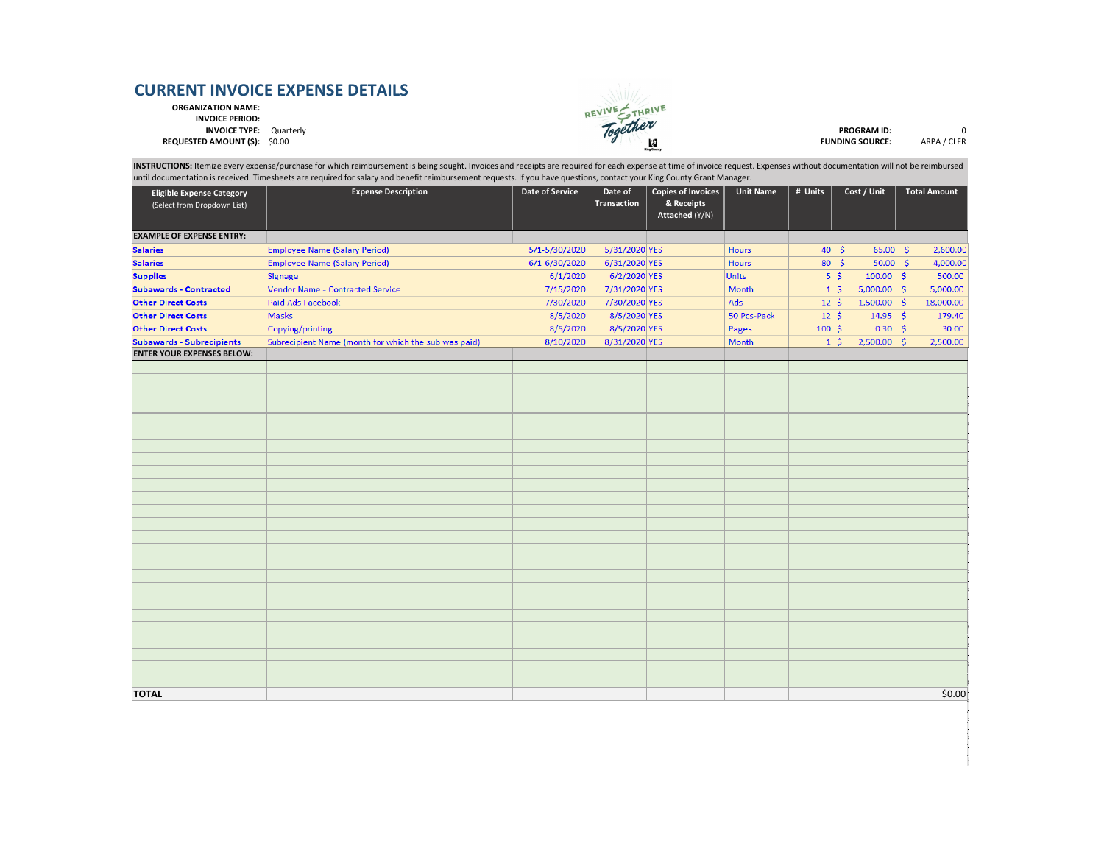**ORGANIZATION NAME:**

**INVOICE PERIOD:**



|                                                                 | until documentation is received. Timesheets are required for salary and benefit reimbursement requests. If you have questions, contact your King County Grant Manager. |                        |                               |                                                                  |                  |                     |                                       |                     |
|-----------------------------------------------------------------|------------------------------------------------------------------------------------------------------------------------------------------------------------------------|------------------------|-------------------------------|------------------------------------------------------------------|------------------|---------------------|---------------------------------------|---------------------|
| <b>Eligible Expense Category</b><br>(Select from Dropdown List) | <b>Expense Description</b>                                                                                                                                             | <b>Date of Service</b> | Date of<br><b>Transaction</b> | <b>Copies of Invoices</b><br>& Receipts<br><b>Attached (Y/N)</b> | <b>Unit Name</b> | $\frac{1}{4}$ Units | Cost / Unit                           | <b>Total Amount</b> |
| <b>EXAMPLE OF EXPENSE ENTRY:</b>                                |                                                                                                                                                                        |                        |                               |                                                                  |                  |                     |                                       |                     |
| <b>Salaries</b>                                                 | <b>Employee Name (Salary Period)</b>                                                                                                                                   | 5/1-5/30/2020          | 5/31/2020 YES                 |                                                                  | <b>Hours</b>     |                     | $65.00 \&$<br>$40 \mid 5$             | 2,600.00            |
| <b>Salaries</b>                                                 | <b>Employee Name (Salary Period)</b>                                                                                                                                   | 6/1-6/30/2020          | 6/31/2020 YES                 |                                                                  | <b>Hours</b>     |                     | $50.00 \mid \xi$<br>$80 \mid \xi$     | 4,000.00            |
| <b>Supplies</b>                                                 | Signage                                                                                                                                                                | 6/1/2020               | 6/2/2020 YES                  |                                                                  | <b>Units</b>     |                     | $5 \mid \frac{2}{3}$<br>$100.00  $ \$ | 500.00              |
| <b>Subawards - Contracted</b>                                   | Vendor Name - Contracted Service                                                                                                                                       | 7/15/2020              | 7/31/2020 YES                 |                                                                  | Month            |                     | $1 \mid \xi$<br>$5,000.00$ \$         | 5,000.00            |
| <b>Other Direct Costs</b>                                       | Paid Ads Facebook                                                                                                                                                      | 7/30/2020              | 7/30/2020 YES                 |                                                                  | Ads              | $12 \mid 5$         | 1,500.00                              | \$<br>18,000.00     |
| <b>Other Direct Costs</b>                                       | <b>Masks</b>                                                                                                                                                           | 8/5/2020               | 8/5/2020 YES                  |                                                                  | 50 Pcs-Pack      | $12 \mid 5$         | $14.95$ \$                            | 179.40              |
| <b>Other Direct Costs</b>                                       | Copying/printing                                                                                                                                                       | 8/5/2020               | 8/5/2020 YES                  |                                                                  | Pages            | $100 \,$ \$         | $0.30  $ \$                           | 30.00               |
| <b>Subawards - Subrecipients</b>                                | Subrecipient Name (month for which the sub was paid)                                                                                                                   | 8/10/2020              | 8/31/2020 YES                 |                                                                  | Month            |                     | $2,500.00$ \$<br>$1\vert$ \$          | 2,500.00            |
| <b>ENTER YOUR EXPENSES BELOW:</b>                               |                                                                                                                                                                        |                        |                               |                                                                  |                  |                     |                                       |                     |
|                                                                 |                                                                                                                                                                        |                        |                               |                                                                  |                  |                     |                                       |                     |
|                                                                 |                                                                                                                                                                        |                        |                               |                                                                  |                  |                     |                                       |                     |
|                                                                 |                                                                                                                                                                        |                        |                               |                                                                  |                  |                     |                                       |                     |
|                                                                 |                                                                                                                                                                        |                        |                               |                                                                  |                  |                     |                                       |                     |
|                                                                 |                                                                                                                                                                        |                        |                               |                                                                  |                  |                     |                                       |                     |
|                                                                 |                                                                                                                                                                        |                        |                               |                                                                  |                  |                     |                                       |                     |
|                                                                 |                                                                                                                                                                        |                        |                               |                                                                  |                  |                     |                                       |                     |
|                                                                 |                                                                                                                                                                        |                        |                               |                                                                  |                  |                     |                                       |                     |
|                                                                 |                                                                                                                                                                        |                        |                               |                                                                  |                  |                     |                                       |                     |
|                                                                 |                                                                                                                                                                        |                        |                               |                                                                  |                  |                     |                                       |                     |
|                                                                 |                                                                                                                                                                        |                        |                               |                                                                  |                  |                     |                                       |                     |
|                                                                 |                                                                                                                                                                        |                        |                               |                                                                  |                  |                     |                                       |                     |
|                                                                 |                                                                                                                                                                        |                        |                               |                                                                  |                  |                     |                                       |                     |
|                                                                 |                                                                                                                                                                        |                        |                               |                                                                  |                  |                     |                                       |                     |
|                                                                 |                                                                                                                                                                        |                        |                               |                                                                  |                  |                     |                                       |                     |
|                                                                 |                                                                                                                                                                        |                        |                               |                                                                  |                  |                     |                                       |                     |
|                                                                 |                                                                                                                                                                        |                        |                               |                                                                  |                  |                     |                                       |                     |
|                                                                 |                                                                                                                                                                        |                        |                               |                                                                  |                  |                     |                                       |                     |
|                                                                 |                                                                                                                                                                        |                        |                               |                                                                  |                  |                     |                                       |                     |
|                                                                 |                                                                                                                                                                        |                        |                               |                                                                  |                  |                     |                                       |                     |
|                                                                 |                                                                                                                                                                        |                        |                               |                                                                  |                  |                     |                                       |                     |
|                                                                 |                                                                                                                                                                        |                        |                               |                                                                  |                  |                     |                                       |                     |
|                                                                 |                                                                                                                                                                        |                        |                               |                                                                  |                  |                     |                                       |                     |
|                                                                 |                                                                                                                                                                        |                        |                               |                                                                  |                  |                     |                                       |                     |
|                                                                 |                                                                                                                                                                        |                        |                               |                                                                  |                  |                     |                                       |                     |
| <b>TOTAL</b>                                                    |                                                                                                                                                                        |                        |                               |                                                                  |                  |                     |                                       | \$0.00              |

| <b>PROGRAM ID:</b>    |             |
|-----------------------|-------------|
| <b>UNDING SOURCE:</b> | ARPA / CLFR |

INSTRUCTIONS: Itemize every expense/purchase for which reimbursement is being sought. Invoices and receipts are required for each expense at time of invoice request. Expenses without documentation will not be reimbursed until documentation is received. Timesheets are required for salary and benefit reimbursement requests. If you have questions, contact your King County Grant Manager.

# **CURRENT INVOICE EXPENSE DETAILS**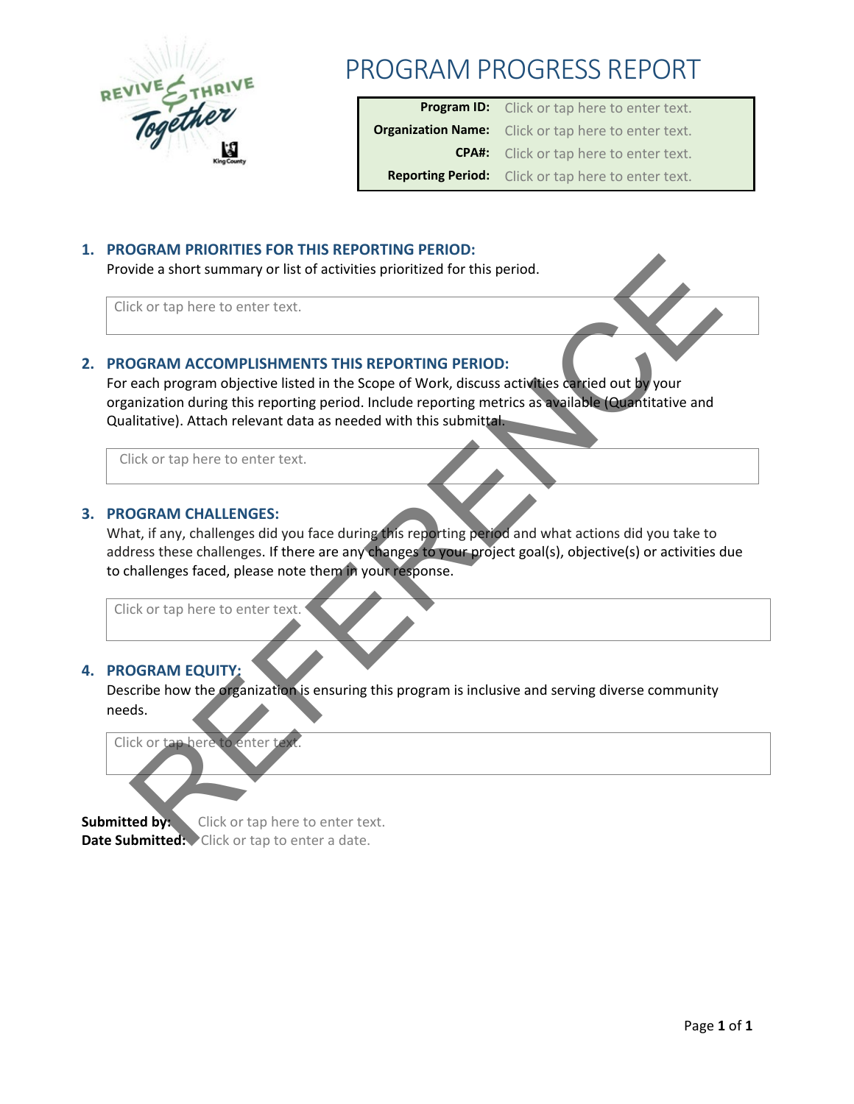

## PROGRAM PROGRESS REPORT

| <b>Program ID:</b> Click or tap here to enter text.        |
|------------------------------------------------------------|
| <b>Organization Name:</b> Click or tap here to enter text. |
| <b>CPA#:</b> Click or tap here to enter text.              |
| <b>Reporting Period:</b> Click or tap here to enter text.  |

### **1. PROGRAM PRIORITIES FOR THIS REPORTING PERIOD:**

Provide a short summary or list of activities prioritized for this period.

Click or tap here to enter text.

### **2. PROGRAM ACCOMPLISHMENTS THIS REPORTING PERIOD:**

For each program objective listed in the Scope of Work, discuss activities carried out by your organization during this reporting period. Include reporting metrics as available (Quantitative and Qualitative). Attach relevant data as needed with this submittal.

Click or tap here to enter text.

### **3. PROGRAM CHALLENGES:**

What, if any, challenges did you face during this reporting period and what actions did you take to address these challenges. If there are any changes to your project goal(s), objective(s) or activities due to challenges faced, please note them in your response. Distribution and the state of the state of the state of this period.<br>
Consequence of program objective listed in this Gregory (Microsofter of this period,<br>
Consequence of program objective listed in the Scope of Work, diss

Click or tap here to enter text.

### **4. PROGRAM EQUITY:**

Describe how the organization is ensuring this program is inclusive and serving diverse community needs.

Click or tap here to enter text.

**Submitted by:** Click or tap here to enter text. Date Submitted: Click or tap to enter a date.